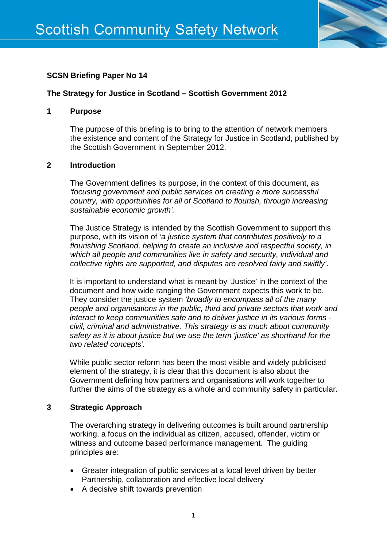

# **SCSN Briefing Paper No 14**

### **The Strategy for Justice in Scotland – Scottish Government 2012**

#### **1 Purpose**

The purpose of this briefing is to bring to the attention of network members the existence and content of the Strategy for Justice in Scotland, published by the Scottish Government in September 2012.

#### **2 Introduction**

The Government defines its purpose, in the context of this document, as *'focusing government and public services on creating a more successful country, with opportunities for all of Scotland to flourish, through increasing sustainable economic growth'.*

The Justice Strategy is intended by the Scottish Government to support this purpose, with its vision of '*a justice system that contributes positively to a flourishing Scotland, helping to create an inclusive and respectful society, in which all people and communities live in safety and security, individual and collective rights are supported, and disputes are resolved fairly and swiftly'***.** 

It is important to understand what is meant by 'Justice' in the context of the document and how wide ranging the Government expects this work to be. They consider the justice system *'broadly to encompass all of the many people and organisations in the public, third and private sectors that work and interact to keep communities safe and to deliver justice in its various forms civil, criminal and administrative. This strategy is as much about community safety as it is about justice but we use the term 'justice' as shorthand for the two related concepts'.*

While public sector reform has been the most visible and widely publicised element of the strategy, it is clear that this document is also about the Government defining how partners and organisations will work together to further the aims of the strategy as a whole and community safety in particular.

#### **3 Strategic Approach**

The overarching strategy in delivering outcomes is built around partnership working, a focus on the individual as citizen, accused, offender, victim or witness and outcome based performance management. The guiding principles are:

- Greater integration of public services at a local level driven by better Partnership, collaboration and effective local delivery
- A decisive shift towards prevention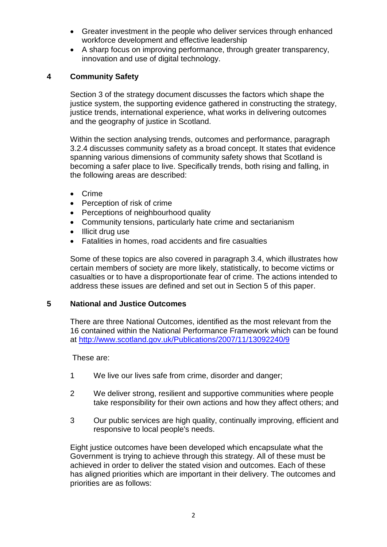- Greater investment in the people who deliver services through enhanced workforce development and effective leadership
- A sharp focus on improving performance, through greater transparency, innovation and use of digital technology.

## **4 Community Safety**

Section 3 of the strategy document discusses the factors which shape the justice system, the supporting evidence gathered in constructing the strategy, justice trends, international experience, what works in delivering outcomes and the geography of justice in Scotland.

Within the section analysing trends, outcomes and performance, paragraph 3.2.4 discusses community safety as a broad concept. It states that evidence spanning various dimensions of community safety shows that Scotland is becoming a safer place to live. Specifically trends, both rising and falling, in the following areas are described:

- Crime
- Perception of risk of crime
- Perceptions of neighbourhood quality
- Community tensions, particularly hate crime and sectarianism
- Illicit drug use
- Fatalities in homes, road accidents and fire casualties

Some of these topics are also covered in paragraph 3.4, which illustrates how certain members of society are more likely, statistically, to become victims or casualties or to have a disproportionate fear of crime. The actions intended to address these issues are defined and set out in Section 5 of this paper.

#### **5 National and Justice Outcomes**

There are three National Outcomes, identified as the most relevant from the 16 contained within the National Performance Framework which can be found at<http://www.scotland.gov.uk/Publications/2007/11/13092240/9>

These are:

- 1 We live our lives safe from crime, disorder and danger;
- 2 We deliver strong, resilient and supportive communities where people take responsibility for their own actions and how they affect others; and
- 3 Our public services are high quality, continually improving, efficient and responsive to local people's needs.

Eight justice outcomes have been developed which encapsulate what the Government is trying to achieve through this strategy. All of these must be achieved in order to deliver the stated vision and outcomes. Each of these has aligned priorities which are important in their delivery. The outcomes and priorities are as follows: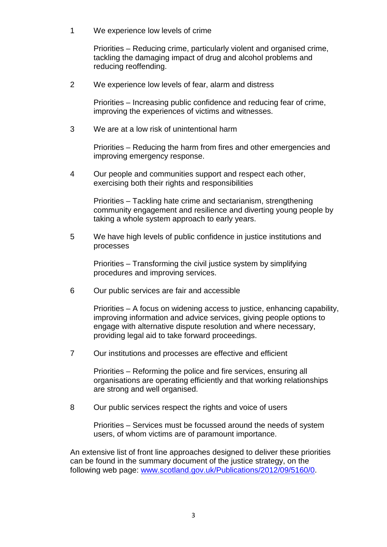1 We experience low levels of crime

Priorities – Reducing crime, particularly violent and organised crime, tackling the damaging impact of drug and alcohol problems and reducing reoffending.

2 We experience low levels of fear, alarm and distress

Priorities – Increasing public confidence and reducing fear of crime, improving the experiences of victims and witnesses.

3 We are at a low risk of unintentional harm

Priorities – Reducing the harm from fires and other emergencies and improving emergency response.

4 Our people and communities support and respect each other, exercising both their rights and responsibilities

Priorities – Tackling hate crime and sectarianism, strengthening community engagement and resilience and diverting young people by taking a whole system approach to early years.

5 We have high levels of public confidence in justice institutions and processes

Priorities – Transforming the civil justice system by simplifying procedures and improving services.

6 Our public services are fair and accessible

Priorities – A focus on widening access to justice, enhancing capability, improving information and advice services, giving people options to engage with alternative dispute resolution and where necessary, providing legal aid to take forward proceedings.

7 Our institutions and processes are effective and efficient

Priorities – Reforming the police and fire services, ensuring all organisations are operating efficiently and that working relationships are strong and well organised.

8 Our public services respect the rights and voice of users

Priorities – Services must be focussed around the needs of system users, of whom victims are of paramount importance.

An extensive list of front line approaches designed to deliver these priorities can be found in the summary document of the justice strategy, on the following web page: [www.scotland.gov.uk/Publications/2012/09/5160/0.](http://www.scotland.gov.uk/Publications/2012/09/5160/0)